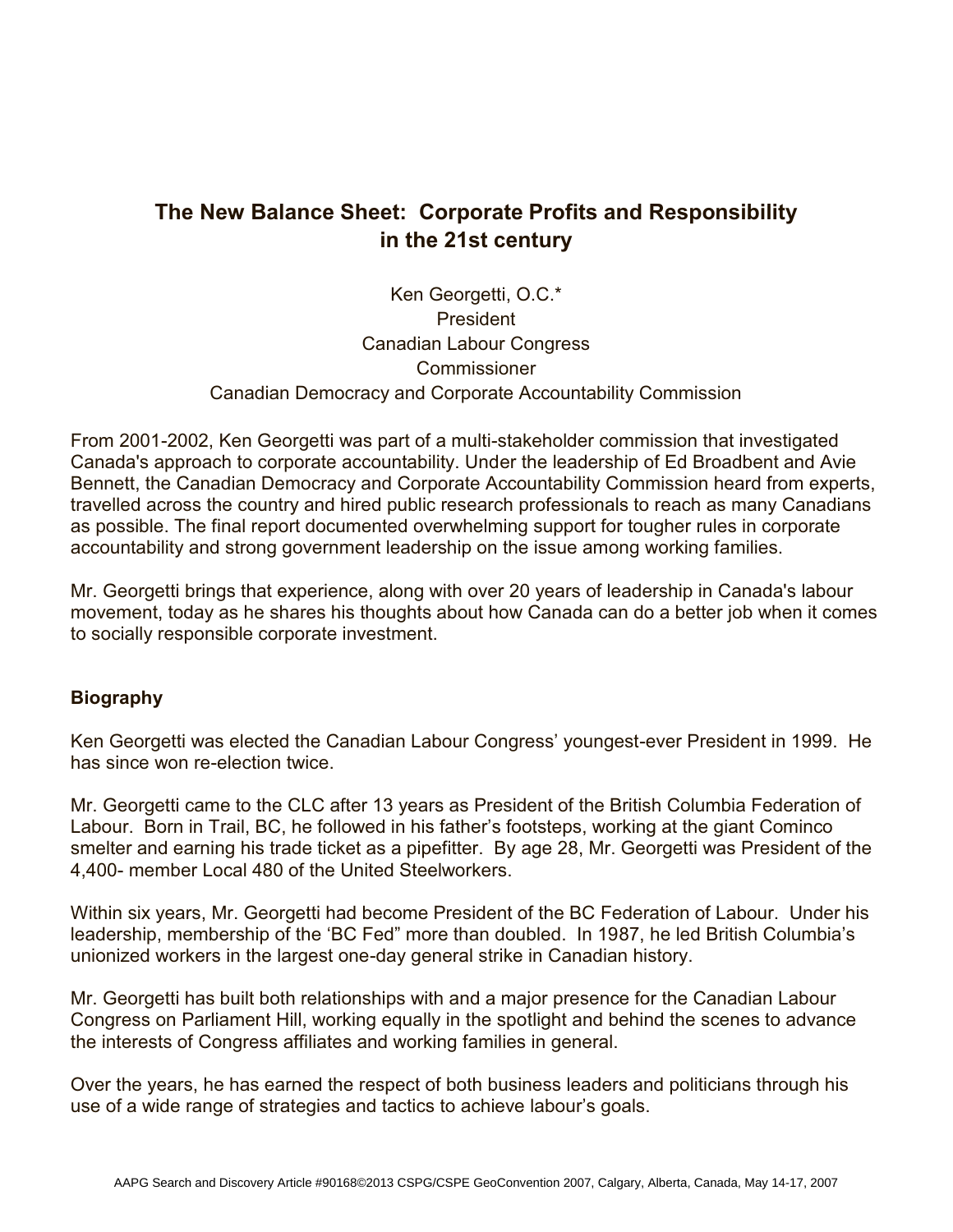## **The New Balance Sheet: Corporate Profits and Responsibility in the 21st century**

## Ken Georgetti, O.C.\* President Canadian Labour Congress **Commissioner** Canadian Democracy and Corporate Accountability Commission

From 2001-2002, Ken Georgetti was part of a multi-stakeholder commission that investigated Canada's approach to corporate accountability. Under the leadership of Ed Broadbent and Avie Bennett, the Canadian Democracy and Corporate Accountability Commission heard from experts, travelled across the country and hired public research professionals to reach as many Canadians as possible. The final report documented overwhelming support for tougher rules in corporate accountability and strong government leadership on the issue among working families.

Mr. Georgetti brings that experience, along with over 20 years of leadership in Canada's labour movement, today as he shares his thoughts about how Canada can do a better job when it comes to socially responsible corporate investment.

## **Biography**

Ken Georgetti was elected the Canadian Labour Congress' youngest-ever President in 1999. He has since won re-election twice.

Mr. Georgetti came to the CLC after 13 years as President of the British Columbia Federation of Labour. Born in Trail, BC, he followed in his father's footsteps, working at the giant Cominco smelter and earning his trade ticket as a pipefitter. By age 28, Mr. Georgetti was President of the 4,400- member Local 480 of the United Steelworkers.

Within six years, Mr. Georgetti had become President of the BC Federation of Labour. Under his leadership, membership of the 'BC Fed" more than doubled. In 1987, he led British Columbia's unionized workers in the largest one-day general strike in Canadian history.

Mr. Georgetti has built both relationships with and a major presence for the Canadian Labour Congress on Parliament Hill, working equally in the spotlight and behind the scenes to advance the interests of Congress affiliates and working families in general.

Over the years, he has earned the respect of both business leaders and politicians through his use of a wide range of strategies and tactics to achieve labour's goals.